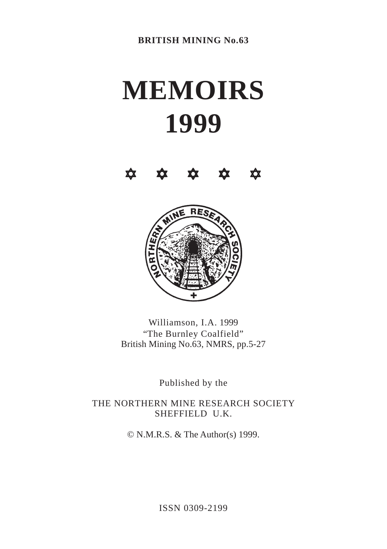# **MEMOIRS 1999**





Williamson, I.A. 1999 "The Burnley Coalfield" British Mining No.63, NMRS, pp.5-27

Published by the

THE NORTHERN MINE RESEARCH SOCIETY SHEFFIELD U.K.

© N.M.R.S. & The Author(s) 1999.

ISSN 0309-2199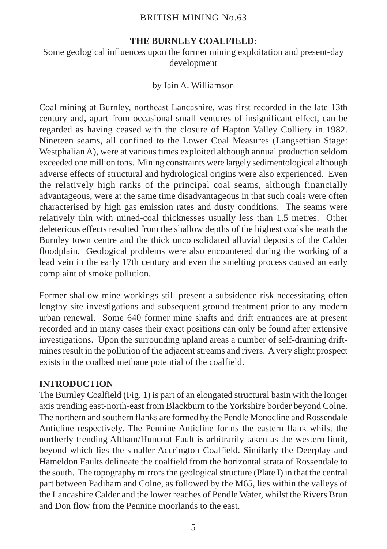#### **THE BURNLEY COALFIELD**:

Some geological influences upon the former mining exploitation and present-day development

#### by Iain A. Williamson

Coal mining at Burnley, northeast Lancashire, was first recorded in the late-13th century and, apart from occasional small ventures of insignificant effect, can be regarded as having ceased with the closure of Hapton Valley Colliery in 1982. Nineteen seams, all confined to the Lower Coal Measures (Langsettian Stage: Westphalian A), were at various times exploited although annual production seldom exceeded one million tons. Mining constraints were largely sedimentological although adverse effects of structural and hydrological origins were also experienced. Even the relatively high ranks of the principal coal seams, although financially advantageous, were at the same time disadvantageous in that such coals were often characterised by high gas emission rates and dusty conditions. The seams were relatively thin with mined-coal thicknesses usually less than 1.5 metres. Other deleterious effects resulted from the shallow depths of the highest coals beneath the Burnley town centre and the thick unconsolidated alluvial deposits of the Calder floodplain. Geological problems were also encountered during the working of a lead vein in the early 17th century and even the smelting process caused an early complaint of smoke pollution.

Former shallow mine workings still present a subsidence risk necessitating often lengthy site investigations and subsequent ground treatment prior to any modern urban renewal. Some 640 former mine shafts and drift entrances are at present recorded and in many cases their exact positions can only be found after extensive investigations. Upon the surrounding upland areas a number of self-draining driftmines result in the pollution of the adjacent streams and rivers. A very slight prospect exists in the coalbed methane potential of the coalfield.

#### **INTRODUCTION**

The Burnley Coalfield (Fig. 1) is part of an elongated structural basin with the longer axis trending east-north-east from Blackburn to the Yorkshire border beyond Colne. The northern and southern flanks are formed by the Pendle Monocline and Rossendale Anticline respectively. The Pennine Anticline forms the eastern flank whilst the northerly trending Altham/Huncoat Fault is arbitrarily taken as the western limit, beyond which lies the smaller Accrington Coalfield. Similarly the Deerplay and Hameldon Faults delineate the coalfield from the horizontal strata of Rossendale to the south. The topography mirrors the geological structure (Plate I) in that the central part between Padiham and Colne, as followed by the M65, lies within the valleys of the Lancashire Calder and the lower reaches of Pendle Water, whilst the Rivers Brun and Don flow from the Pennine moorlands to the east.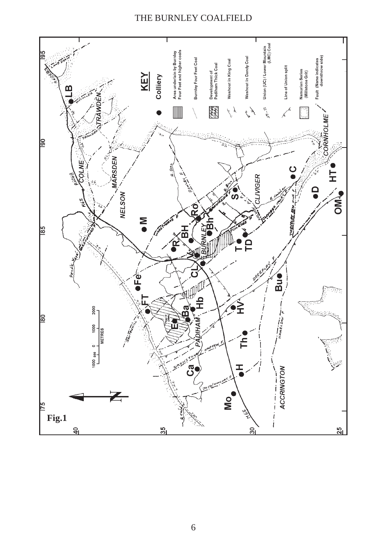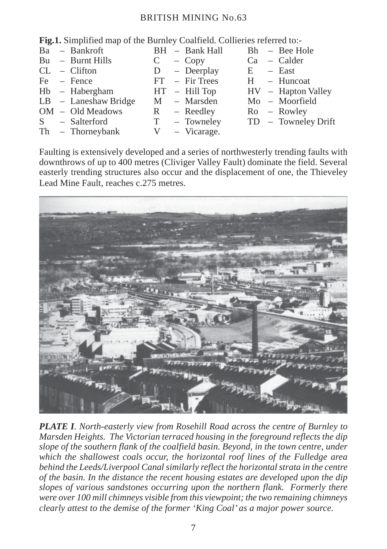| <b>Fig.1.</b> Simplified map of the Burnley Coalfield. Collieries referred to:- |  |                                                                                                                                                                                   |  |     |                                                                                                                         |  |                                                                                         |  |
|---------------------------------------------------------------------------------|--|-----------------------------------------------------------------------------------------------------------------------------------------------------------------------------------|--|-----|-------------------------------------------------------------------------------------------------------------------------|--|-----------------------------------------------------------------------------------------|--|
|                                                                                 |  |                                                                                                                                                                                   |  |     |                                                                                                                         |  |                                                                                         |  |
|                                                                                 |  |                                                                                                                                                                                   |  |     |                                                                                                                         |  |                                                                                         |  |
|                                                                                 |  |                                                                                                                                                                                   |  |     |                                                                                                                         |  |                                                                                         |  |
|                                                                                 |  |                                                                                                                                                                                   |  |     |                                                                                                                         |  | $H - H$ uncoat                                                                          |  |
|                                                                                 |  |                                                                                                                                                                                   |  |     |                                                                                                                         |  | $HV - Hapton Valley$                                                                    |  |
|                                                                                 |  |                                                                                                                                                                                   |  |     |                                                                                                                         |  | $Mo$ – Moorfield                                                                        |  |
|                                                                                 |  |                                                                                                                                                                                   |  |     |                                                                                                                         |  |                                                                                         |  |
|                                                                                 |  |                                                                                                                                                                                   |  |     |                                                                                                                         |  | TD – Towneley Drift                                                                     |  |
|                                                                                 |  |                                                                                                                                                                                   |  |     |                                                                                                                         |  |                                                                                         |  |
|                                                                                 |  | Ba – Bankroft<br>$Bu - Burnt Hills$<br>$CL$ – Clifton<br>$Fe$ – Fence<br>$Hb - Habergham$<br>$LB$ – Laneshaw Bridge<br>$OM - Old Meadows$<br>S – Salterford<br>$Th - Thorneybank$ |  | V — | $D - Deerplay$<br>$FT$ – Fir Trees<br>$HT - Hill Top$<br>M – Marsden<br>$R - Reedley$<br>$T - T$ owneley<br>- Vicarage. |  | BH - Bank Hall Bh - Bee Hole<br>$C - Copy$ $Ca - Calder$<br>$E -$ East<br>$Ro$ – Rowley |  |

Faulting is extensively developed and a series of northwesterly trending faults with downthrows of up to 400 metres (Cliviger Valley Fault) dominate the field. Several easterly trending structures also occur and the displacement of one, the Thieveley Lead Mine Fault, reaches c.275 metres.



*PLATE I. North-easterly view from Rosehill Road across the centre of Burnley to Marsden Heights. The Victorian terraced housing in the foreground reflects the dip slope of the southern flank of the coalfield basin. Beyond, in the town centre, under which the shallowest coals occur, the horizontal roof lines of the Fulledge area behind the Leeds/Liverpool Canal similarly reflect the horizontal strata in the centre of the basin. In the distance the recent housing estates are developed upon the dip slopes of various sandstones occurring upon the northern flank. Formerly there were over 100 mill chimneys visible from this viewpoint; the two remaining chimneys clearly attest to the demise of the former 'King Coal' as a major power source.*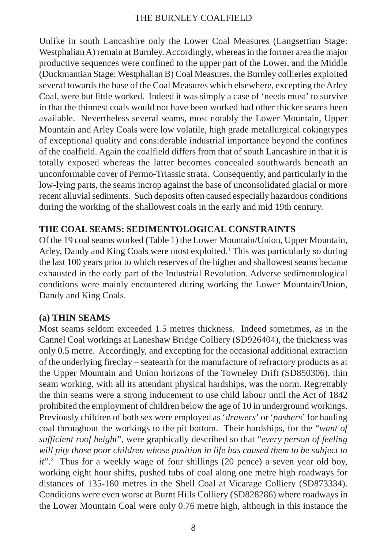Unlike in south Lancashire only the Lower Coal Measures (Langsettian Stage: Westphalian A) remain at Burnley. Accordingly, whereas in the former area the major productive sequences were confined to the upper part of the Lower, and the Middle (Duckmantian Stage: Westphalian B) Coal Measures, the Burnley collieries exploited several towards the base of the Coal Measures which elsewhere, excepting the Arley Coal, were but little worked. Indeed it was simply a case of 'needs must' to survive in that the thinnest coals would not have been worked had other thicker seams been available. Nevertheless several seams, most notably the Lower Mountain, Upper Mountain and Arley Coals were low volatile, high grade metallurgical cokingtypes of exceptional quality and considerable industrial importance beyond the confines of the coalfield. Again the coalfield differs from that of south Lancashire in that it is totally exposed whereas the latter becomes concealed southwards beneath an unconformable cover of Permo-Triassic strata. Consequently, and particularly in the low-lying parts, the seams incrop against the base of unconsolidated glacial or more recent alluvial sediments. Such deposits often caused especially hazardous conditions during the working of the shallowest coals in the early and mid 19th century.

## **THE COAL SEAMS: SEDIMENTOLOGICAL CONSTRAINTS**

Of the 19 coal seams worked (Table 1) the Lower Mountain/Union, Upper Mountain, Arley, Dandy and King Coals were most exploited.<sup>1</sup> This was particularly so during the last 100 years prior to which reserves of the higher and shallowest seams became exhausted in the early part of the Industrial Revolution. Adverse sedimentological conditions were mainly encountered during working the Lower Mountain/Union, Dandy and King Coals.

## **(a) THIN SEAMS**

Most seams seldom exceeded 1.5 metres thickness. Indeed sometimes, as in the Cannel Coal workings at Laneshaw Bridge Colliery (SD926404), the thickness was only 0.5 metre. Accordingly, and excepting for the occasional additional extraction of the underlying fireclay – seatearth for the manufacture of refractory products as at the Upper Mountain and Union horizons of the Towneley Drift (SD850306), thin seam working, with all its attendant physical hardships, was the norm. Regrettably the thin seams were a strong inducement to use child labour until the Act of 1842 prohibited the employment of children below the age of 10 in underground workings. Previously children of both sex were employed as '*drawers*' or '*pushers*' for hauling coal throughout the workings to the pit bottom. Their hardships, for the "*want of sufficient roof height*", were graphically described so that "*every person of feeling will pity those poor children whose position in life has caused them to be subject to* it".<sup>2</sup> Thus for a weekly wage of four shillings (20 pence) a seven year old boy, working eight hour shifts, pushed tubs of coal along one metre high roadways for distances of 135-180 metres in the Shell Coal at Vicarage Colliery (SD873334). Conditions were even worse at Burnt Hills Colliery (SD828286) where roadways in the Lower Mountain Coal were only 0.76 metre high, although in this instance the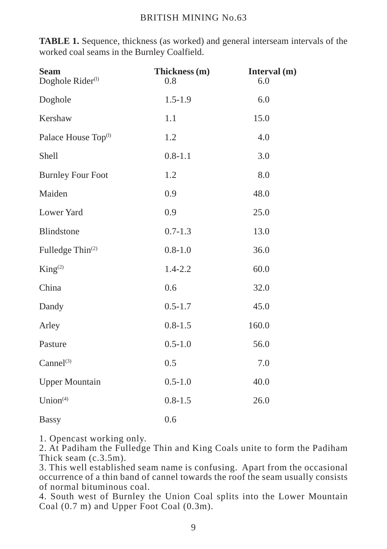**TABLE 1.** Sequence, thickness (as worked) and general interseam intervals of the worked coal seams in the Burnley Coalfield.

| <b>Seam</b><br>Doghole Rider <sup>(1)</sup> | Thickness (m)<br>0.8 | Interval (m)<br>6.0 |  |
|---------------------------------------------|----------------------|---------------------|--|
| Doghole                                     | $1.5 - 1.9$          | 6.0                 |  |
| Kershaw                                     | 1.1                  | 15.0                |  |
| Palace House Top <sup>(1)</sup>             | 1.2                  | 4.0                 |  |
| Shell                                       | $0.8 - 1.1$          | 3.0                 |  |
| <b>Burnley Four Foot</b>                    | 1.2                  | 8.0                 |  |
| Maiden                                      | 0.9                  | 48.0                |  |
| Lower Yard                                  | 0.9                  | 25.0                |  |
| Blindstone                                  | $0.7 - 1.3$          | 13.0                |  |
| Fulledge Thin <sup>(2)</sup>                | $0.8 - 1.0$          | 36.0                |  |
| King <sup>(2)</sup>                         | $1.4 - 2.2$          | 60.0                |  |
| China                                       | 0.6                  | 32.0                |  |
| Dandy                                       | $0.5 - 1.7$          | 45.0                |  |
| Arley                                       | $0.8 - 1.5$          | 160.0               |  |
| Pasture                                     | $0.5 - 1.0$          | 56.0                |  |
| Cannel <sup>(3)</sup>                       | 0.5                  | 7.0                 |  |
| <b>Upper Mountain</b>                       | $0.5 - 1.0$          | 40.0                |  |
| Union <sup>(4)</sup>                        | $0.8 - 1.5$          | 26.0                |  |
| <b>Bassy</b>                                | 0.6                  |                     |  |

1. Opencast working only.

2. At Padiham the Fulledge Thin and King Coals unite to form the Padiham Thick seam (c.3.5m).

3. This well established seam name is confusing. Apart from the occasional occurrence of a thin band of cannel towards the roof the seam usually consists of normal bituminous coal.

4. South west of Burnley the Union Coal splits into the Lower Mountain Coal (0.7 m) and Upper Foot Coal (0.3m).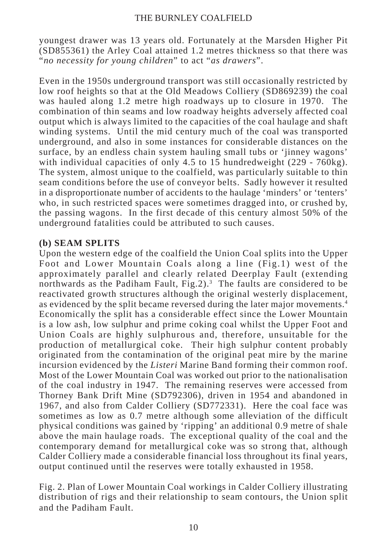youngest drawer was 13 years old. Fortunately at the Marsden Higher Pit (SD855361) the Arley Coal attained 1.2 metres thickness so that there was "*no necessity for young children*" to act "*as drawers*".

Even in the 1950s underground transport was still occasionally restricted by low roof heights so that at the Old Meadows Colliery (SD869239) the coal was hauled along 1.2 metre high roadways up to closure in 1970. The combination of thin seams and low roadway heights adversely affected coal output which is always limited to the capacities of the coal haulage and shaft winding systems. Until the mid century much of the coal was transported underground, and also in some instances for considerable distances on the surface, by an endless chain system hauling small tubs or 'jinney wagons' with individual capacities of only 4.5 to 15 hundredweight (229 - 760kg). The system, almost unique to the coalfield, was particularly suitable to thin seam conditions before the use of conveyor belts. Sadly however it resulted in a disproportionate number of accidents to the haulage 'minders' or 'tenters' who, in such restricted spaces were sometimes dragged into, or crushed by, the passing wagons. In the first decade of this century almost 50% of the underground fatalities could be attributed to such causes.

## **(b) SEAM SPLITS**

Upon the western edge of the coalfield the Union Coal splits into the Upper Foot and Lower Mountain Coals along a line (Fig.1) west of the approximately parallel and clearly related Deerplay Fault (extending northwards as the Padiham Fault, Fig.2).<sup>3</sup> The faults are considered to be reactivated growth structures although the original westerly displacement, as evidenced by the split became reversed during the later major movements.4 Economically the split has a considerable effect since the Lower Mountain is a low ash, low sulphur and prime coking coal whilst the Upper Foot and Union Coals are highly sulphurous and, therefore, unsuitable for the production of metallurgical coke. Their high sulphur content probably originated from the contamination of the original peat mire by the marine incursion evidenced by the *Listeri* Marine Band forming their common roof. Most of the Lower Mountain Coal was worked out prior to the nationalisation of the coal industry in 1947. The remaining reserves were accessed from Thorney Bank Drift Mine (SD792306), driven in 1954 and abandoned in 1967, and also from Calder Colliery (SD772331). Here the coal face was sometimes as low as 0.7 metre although some alleviation of the difficult physical conditions was gained by 'ripping' an additional 0.9 metre of shale above the main haulage roads. The exceptional quality of the coal and the contemporary demand for metallurgical coke was so strong that, although Calder Colliery made a considerable financial loss throughout its final years, output continued until the reserves were totally exhausted in 1958.

Fig. 2. Plan of Lower Mountain Coal workings in Calder Colliery illustrating distribution of rigs and their relationship to seam contours, the Union split and the Padiham Fault.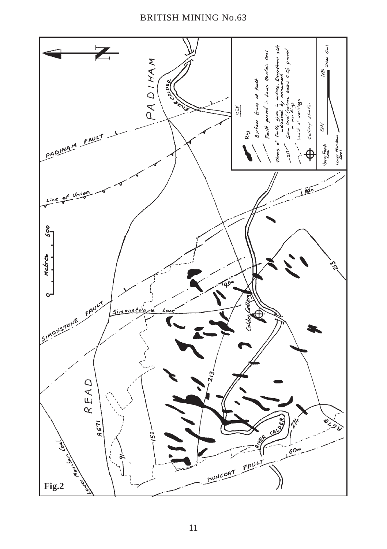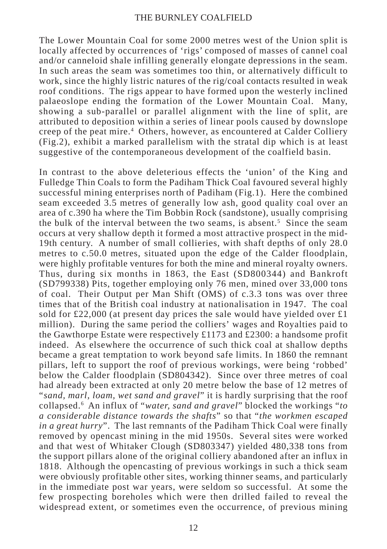The Lower Mountain Coal for some 2000 metres west of the Union split is locally affected by occurrences of 'rigs' composed of masses of cannel coal and/or canneloid shale infilling generally elongate depressions in the seam. In such areas the seam was sometimes too thin, or alternatively difficult to work, since the highly listric natures of the rig/coal contacts resulted in weak roof conditions. The rigs appear to have formed upon the westerly inclined palaeoslope ending the formation of the Lower Mountain Coal. Many, showing a sub-parallel or parallel alignment with the line of split, are attributed to deposition within a series of linear pools caused by downslope creep of the peat mire.<sup>4</sup> Others, however, as encountered at Calder Colliery (Fig.2), exhibit a marked parallelism with the stratal dip which is at least suggestive of the contemporaneous development of the coalfield basin.

In contrast to the above deleterious effects the 'union' of the King and Fulledge Thin Coals to form the Padiham Thick Coal favoured several highly successful mining enterprises north of Padiham (Fig.1). Here the combined seam exceeded 3.5 metres of generally low ash, good quality coal over an area of c.390 ha where the Tim Bobbin Rock (sandstone), usually comprising the bulk of the interval between the two seams, is absent.<sup>5</sup> Since the seam occurs at very shallow depth it formed a most attractive prospect in the mid-19th century. A number of small collieries, with shaft depths of only 28.0 metres to c.50.0 metres, situated upon the edge of the Calder floodplain, were highly profitable ventures for both the mine and mineral royalty owners. Thus, during six months in 1863, the East (SD800344) and Bankroft (SD799338) Pits, together employing only 76 men, mined over 33,000 tons of coal. Their Output per Man Shift (OMS) of c.3.3 tons was over three times that of the British coal industry at nationalisation in 1947. The coal sold for £22,000 (at present day prices the sale would have yielded over £1 million). During the same period the colliers' wages and Royalties paid to the Gawthorpe Estate were respectively £1173 and £2300: a handsome profit indeed. As elsewhere the occurrence of such thick coal at shallow depths became a great temptation to work beyond safe limits. In 1860 the remnant pillars, left to support the roof of previous workings, were being 'robbed' below the Calder floodplain (SD804342). Since over three metres of coal had already been extracted at only 20 metre below the base of 12 metres of "*sand, marl, loam, wet sand and gravel*" it is hardly surprising that the roof collapsed.6 An influx of "*water, sand and gravel*" blocked the workings "*to a considerable distance towards the shafts*" so that "*the workmen escaped in a great hurry*". The last remnants of the Padiham Thick Coal were finally removed by opencast mining in the mid 1950s. Several sites were worked and that west of Whitaker Clough (SD803347) yielded 480,338 tons from the support pillars alone of the original colliery abandoned after an influx in 1818. Although the opencasting of previous workings in such a thick seam were obviously profitable other sites, working thinner seams, and particularly in the immediate post war years, were seldom so successful. At some the few prospecting boreholes which were then drilled failed to reveal the widespread extent, or sometimes even the occurrence, of previous mining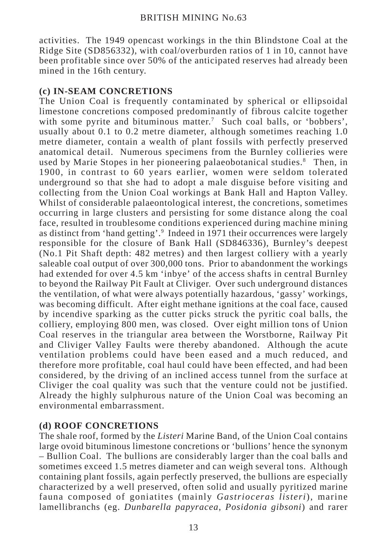activities. The 1949 opencast workings in the thin Blindstone Coal at the Ridge Site (SD856332), with coal/overburden ratios of 1 in 10, cannot have been profitable since over 50% of the anticipated reserves had already been mined in the 16th century.

## **(c) IN-SEAM CONCRETIONS**

The Union Coal is frequently contaminated by spherical or ellipsoidal limestone concretions composed predominantly of fibrous calcite together with some pyrite and bituminous matter.<sup>7</sup> Such coal balls, or 'bobbers', usually about 0.1 to 0.2 metre diameter, although sometimes reaching 1.0 metre diameter, contain a wealth of plant fossils with perfectly preserved anatomical detail. Numerous specimens from the Burnley collieries were used by Marie Stopes in her pioneering palaeobotanical studies.<sup>8</sup> Then, in 1900, in contrast to 60 years earlier, women were seldom tolerated underground so that she had to adopt a male disguise before visiting and collecting from the Union Coal workings at Bank Hall and Hapton Valley. Whilst of considerable palaeontological interest, the concretions, sometimes occurring in large clusters and persisting for some distance along the coal face, resulted in troublesome conditions experienced during machine mining as distinct from 'hand getting'.<sup>9</sup> Indeed in 1971 their occurrences were largely responsible for the closure of Bank Hall (SD846336), Burnley's deepest (No.1 Pit Shaft depth: 482 metres) and then largest colliery with a yearly saleable coal output of over 300,000 tons. Prior to abandonment the workings had extended for over 4.5 km 'inbye' of the access shafts in central Burnley to beyond the Railway Pit Fault at Cliviger. Over such underground distances the ventilation, of what were always potentially hazardous, 'gassy' workings, was becoming difficult. After eight methane ignitions at the coal face, caused by incendive sparking as the cutter picks struck the pyritic coal balls, the colliery, employing 800 men, was closed. Over eight million tons of Union Coal reserves in the triangular area between the Worstborne, Railway Pit and Cliviger Valley Faults were thereby abandoned. Although the acute ventilation problems could have been eased and a much reduced, and therefore more profitable, coal haul could have been effected, and had been considered, by the driving of an inclined access tunnel from the surface at Cliviger the coal quality was such that the venture could not be justified. Already the highly sulphurous nature of the Union Coal was becoming an environmental embarrassment.

## **(d) ROOF CONCRETIONS**

The shale roof, formed by the *Listeri* Marine Band, of the Union Coal contains large ovoid bituminous limestone concretions or 'bullions' hence the synonym – Bullion Coal. The bullions are considerably larger than the coal balls and sometimes exceed 1.5 metres diameter and can weigh several tons. Although containing plant fossils, again perfectly preserved, the bullions are especially characterized by a well preserved, often solid and usually pyritized marine fauna composed of goniatites (mainly *Gastrioceras listeri*), marine lamellibranchs (eg. *Dunbarella papyracea*, *Posidonia gibsoni*) and rarer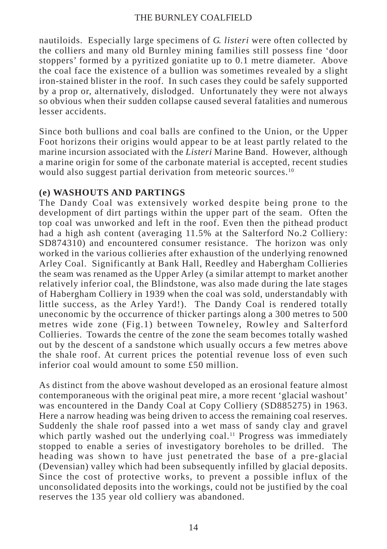nautiloids. Especially large specimens of *G. listeri* were often collected by the colliers and many old Burnley mining families still possess fine 'door stoppers' formed by a pyritized goniatite up to 0.1 metre diameter. Above the coal face the existence of a bullion was sometimes revealed by a slight iron-stained blister in the roof. In such cases they could be safely supported by a prop or, alternatively, dislodged. Unfortunately they were not always so obvious when their sudden collapse caused several fatalities and numerous lesser accidents.

Since both bullions and coal balls are confined to the Union, or the Upper Foot horizons their origins would appear to be at least partly related to the marine incursion associated with the *Listeri* Marine Band. However, although a marine origin for some of the carbonate material is accepted, recent studies would also suggest partial derivation from meteoric sources.<sup>10</sup>

## **(e) WASHOUTS AND PARTINGS**

The Dandy Coal was extensively worked despite being prone to the development of dirt partings within the upper part of the seam. Often the top coal was unworked and left in the roof. Even then the pithead product had a high ash content (averaging 11.5% at the Salterford No.2 Colliery: SD874310) and encountered consumer resistance. The horizon was only worked in the various collieries after exhaustion of the underlying renowned Arley Coal. Significantly at Bank Hall, Reedley and Habergham Collieries the seam was renamed as the Upper Arley (a similar attempt to market another relatively inferior coal, the Blindstone, was also made during the late stages of Habergham Colliery in 1939 when the coal was sold, understandably with little success, as the Arley Yard!). The Dandy Coal is rendered totally uneconomic by the occurrence of thicker partings along a 300 metres to 500 metres wide zone (Fig.1) between Towneley, Rowley and Salterford Collieries. Towards the centre of the zone the seam becomes totally washed out by the descent of a sandstone which usually occurs a few metres above the shale roof. At current prices the potential revenue loss of even such inferior coal would amount to some £50 million.

As distinct from the above washout developed as an erosional feature almost contemporaneous with the original peat mire, a more recent 'glacial washout' was encountered in the Dandy Coal at Copy Colliery (SD885275) in 1963. Here a narrow heading was being driven to access the remaining coal reserves. Suddenly the shale roof passed into a wet mass of sandy clay and gravel which partly washed out the underlying coal.<sup>11</sup> Progress was immediately stopped to enable a series of investigatory boreholes to be drilled. The heading was shown to have just penetrated the base of a pre-glacial (Devensian) valley which had been subsequently infilled by glacial deposits. Since the cost of protective works, to prevent a possible influx of the unconsolidated deposits into the workings, could not be justified by the coal reserves the 135 year old colliery was abandoned.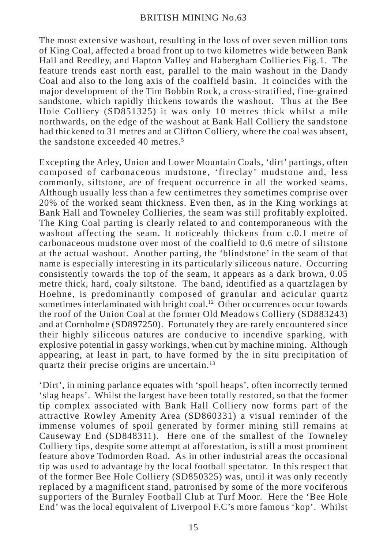The most extensive washout, resulting in the loss of over seven million tons of King Coal, affected a broad front up to two kilometres wide between Bank Hall and Reedley, and Hapton Valley and Habergham Collieries Fig.1. The feature trends east north east, parallel to the main washout in the Dandy Coal and also to the long axis of the coalfield basin. It coincides with the major development of the Tim Bobbin Rock, a cross-stratified, fine-grained sandstone, which rapidly thickens towards the washout. Thus at the Bee Hole Colliery (SD851325) it was only 10 metres thick whilst a mile northwards, on the edge of the washout at Bank Hall Colliery the sandstone had thickened to 31 metres and at Clifton Colliery, where the coal was absent, the sandstone exceeded 40 metres.<sup>5</sup>

Excepting the Arley, Union and Lower Mountain Coals, 'dirt' partings, often composed of carbonaceous mudstone, 'fireclay' mudstone and, less commonly, siltstone, are of frequent occurrence in all the worked seams. Although usually less than a few centimetres they sometimes comprise over 20% of the worked seam thickness. Even then, as in the King workings at Bank Hall and Towneley Collieries, the seam was still profitably exploited. The King Coal parting is clearly related to and contemporaneous with the washout affecting the seam. It noticeably thickens from c.0.1 metre of carbonaceous mudstone over most of the coalfield to 0.6 metre of siltstone at the actual washout. Another parting, the 'blindstone' in the seam of that name is especially interesting in its particularly siliceous nature. Occurring consistently towards the top of the seam, it appears as a dark brown, 0.05 metre thick, hard, coaly siltstone. The band, identified as a quartzlagen by Hoehne, is predominantly composed of granular and acicular quartz sometimes interlaminated with bright coal.<sup>12</sup> Other occurrences occur towards the roof of the Union Coal at the former Old Meadows Colliery (SD883243) and at Cornholme (SD897250). Fortunately they are rarely encountered since their highly siliceous natures are conducive to incendive sparking, with explosive potential in gassy workings, when cut by machine mining. Although appearing, at least in part, to have formed by the in situ precipitation of quartz their precise origins are uncertain.13

'Dirt', in mining parlance equates with 'spoil heaps', often incorrectly termed 'slag heaps'. Whilst the largest have been totally restored, so that the former tip complex associated with Bank Hall Colliery now forms part of the attractive Rowley Amenity Area (SD860331) a visual reminder of the immense volumes of spoil generated by former mining still remains at Causeway End (SD848311). Here one of the smallest of the Towneley Colliery tips, despite some attempt at afforestation, is still a most prominent feature above Todmorden Road. As in other industrial areas the occasional tip was used to advantage by the local football spectator. In this respect that of the former Bee Hole Colliery (SD850325) was, until it was only recently replaced by a magnificent stand, patronised by some of the more vociferous supporters of the Burnley Football Club at Turf Moor. Here the 'Bee Hole End' was the local equivalent of Liverpool F.C's more famous 'kop'. Whilst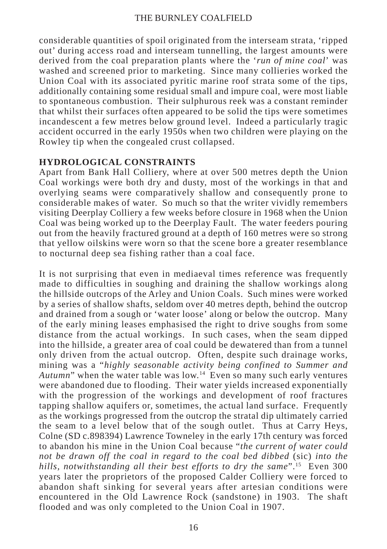considerable quantities of spoil originated from the interseam strata, 'ripped out' during access road and interseam tunnelling, the largest amounts were derived from the coal preparation plants where the '*run of mine coal*' was washed and screened prior to marketing. Since many collieries worked the Union Coal with its associated pyritic marine roof strata some of the tips, additionally containing some residual small and impure coal, were most liable to spontaneous combustion. Their sulphurous reek was a constant reminder that whilst their surfaces often appeared to be solid the tips were sometimes incandescent a few metres below ground level. Indeed a particularly tragic accident occurred in the early 1950s when two children were playing on the Rowley tip when the congealed crust collapsed.

## **HYDROLOGICAL CONSTRAINTS**

Apart from Bank Hall Colliery, where at over 500 metres depth the Union Coal workings were both dry and dusty, most of the workings in that and overlying seams were comparatively shallow and consequently prone to considerable makes of water. So much so that the writer vividly remembers visiting Deerplay Colliery a few weeks before closure in 1968 when the Union Coal was being worked up to the Deerplay Fault. The water feeders pouring out from the heavily fractured ground at a depth of 160 metres were so strong that yellow oilskins were worn so that the scene bore a greater resemblance to nocturnal deep sea fishing rather than a coal face.

It is not surprising that even in mediaeval times reference was frequently made to difficulties in soughing and draining the shallow workings along the hillside outcrops of the Arley and Union Coals. Such mines were worked by a series of shallow shafts, seldom over 40 metres depth, behind the outcrop and drained from a sough or 'water loose' along or below the outcrop. Many of the early mining leases emphasised the right to drive soughs from some distance from the actual workings. In such cases, when the seam dipped into the hillside, a greater area of coal could be dewatered than from a tunnel only driven from the actual outcrop. Often, despite such drainage works, mining was a "*highly seasonable activity being confined to Summer and Autumn*" when the water table was low.14 Even so many such early ventures were abandoned due to flooding. Their water yields increased exponentially with the progression of the workings and development of roof fractures tapping shallow aquifers or, sometimes, the actual land surface. Frequently as the workings progressed from the outcrop the stratal dip ultimately carried the seam to a level below that of the sough outlet. Thus at Carry Heys, Colne (SD c.898394) Lawrence Towneley in the early 17th century was forced to abandon his mine in the Union Coal because "*the current of water could not be drawn off the coal in regard to the coal bed dibbed* (sic) *into the hills, notwithstanding all their best efforts to dry the same*".15 Even 300 years later the proprietors of the proposed Calder Colliery were forced to abandon shaft sinking for several years after artesian conditions were encountered in the Old Lawrence Rock (sandstone) in 1903. The shaft flooded and was only completed to the Union Coal in 1907.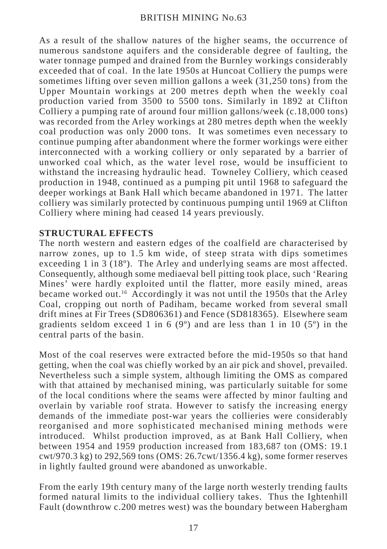As a result of the shallow natures of the higher seams, the occurrence of numerous sandstone aquifers and the considerable degree of faulting, the water tonnage pumped and drained from the Burnley workings considerably exceeded that of coal. In the late 1950s at Huncoat Colliery the pumps were sometimes lifting over seven million gallons a week (31,250 tons) from the Upper Mountain workings at 200 metres depth when the weekly coal production varied from 3500 to 5500 tons. Similarly in 1892 at Clifton Colliery a pumping rate of around four million gallons/week (c.18,000 tons) was recorded from the Arley workings at 280 metres depth when the weekly coal production was only 2000 tons. It was sometimes even necessary to continue pumping after abandonment where the former workings were either interconnected with a working colliery or only separated by a barrier of unworked coal which, as the water level rose, would be insufficient to withstand the increasing hydraulic head. Towneley Colliery, which ceased production in 1948, continued as a pumping pit until 1968 to safeguard the deeper workings at Bank Hall which became abandoned in 1971. The latter colliery was similarly protected by continuous pumping until 1969 at Clifton Colliery where mining had ceased 14 years previously.

## **STRUCTURAL EFFECTS**

The north western and eastern edges of the coalfield are characterised by narrow zones, up to 1.5 km wide, of steep strata with dips sometimes exceeding 1 in 3 (18°). The Arley and underlying seams are most affected. Consequently, although some mediaeval bell pitting took place, such 'Rearing Mines' were hardly exploited until the flatter, more easily mined, areas became worked out.16 Accordingly it was not until the 1950s that the Arley Coal, cropping out north of Padiham, became worked from several small drift mines at Fir Trees (SD806361) and Fence (SD818365). Elsewhere seam gradients seldom exceed 1 in 6 (9 $^{\circ}$ ) and are less than 1 in 10 (5 $^{\circ}$ ) in the central parts of the basin.

Most of the coal reserves were extracted before the mid-1950s so that hand getting, when the coal was chiefly worked by an air pick and shovel, prevailed. Nevertheless such a simple system, although limiting the OMS as compared with that attained by mechanised mining, was particularly suitable for some of the local conditions where the seams were affected by minor faulting and overlain by variable roof strata. However to satisfy the increasing energy demands of the immediate post-war years the collieries were considerably reorganised and more sophisticated mechanised mining methods were introduced. Whilst production improved, as at Bank Hall Colliery, when between 1954 and 1959 production increased from 183,687 ton (OMS: 19.1 cwt/970.3 kg) to 292,569 tons (OMS: 26.7cwt/1356.4 kg), some former reserves in lightly faulted ground were abandoned as unworkable.

From the early 19th century many of the large north westerly trending faults formed natural limits to the individual colliery takes. Thus the Ightenhill Fault (downthrow c.200 metres west) was the boundary between Habergham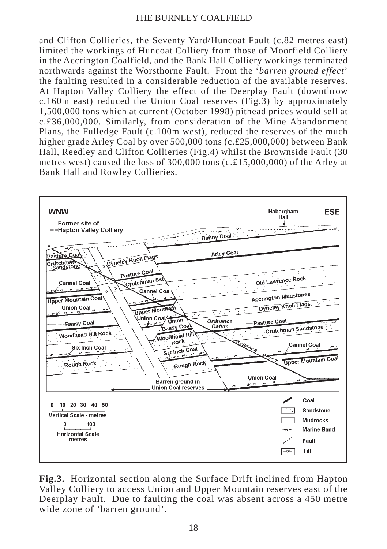and Clifton Collieries, the Seventy Yard/Huncoat Fault (c.82 metres east) limited the workings of Huncoat Colliery from those of Moorfield Colliery in the Accrington Coalfield, and the Bank Hall Colliery workings terminated northwards against the Worsthorne Fault. From the '*barren ground effect*' the faulting resulted in a considerable reduction of the available reserves. At Hapton Valley Colliery the effect of the Deerplay Fault (downthrow c.160m east) reduced the Union Coal reserves (Fig.3) by approximately 1,500,000 tons which at current (October 1998) pithead prices would sell at c.£36,000,000. Similarly, from consideration of the Mine Abandonment Plans, the Fulledge Fault (c.100m west), reduced the reserves of the much higher grade Arley Coal by over 500,000 tons (c.£25,000,000) between Bank Hall, Reedley and Clifton Collieries (Fig.4) whilst the Brownside Fault (30 metres west) caused the loss of  $300,000$  tons (c.£15,000,000) of the Arley at Bank Hall and Rowley Collieries.



**Fig.3.** Horizontal section along the Surface Drift inclined from Hapton Valley Colliery to access Union and Upper Mountain reserves east of the Deerplay Fault. Due to faulting the coal was absent across a 450 metre wide zone of 'barren ground'.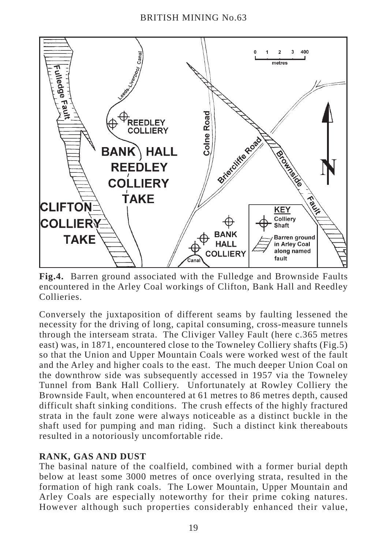

**Fig.4.** Barren ground associated with the Fulledge and Brownside Faults encountered in the Arley Coal workings of Clifton, Bank Hall and Reedley Collieries.

Conversely the juxtaposition of different seams by faulting lessened the necessity for the driving of long, capital consuming, cross-measure tunnels through the interseam strata. The Cliviger Valley Fault (here c.365 metres east) was, in 1871, encountered close to the Towneley Colliery shafts (Fig.5) so that the Union and Upper Mountain Coals were worked west of the fault and the Arley and higher coals to the east. The much deeper Union Coal on the downthrow side was subsequently accessed in 1957 via the Towneley Tunnel from Bank Hall Colliery. Unfortunately at Rowley Colliery the Brownside Fault, when encountered at 61 metres to 86 metres depth, caused difficult shaft sinking conditions. The crush effects of the highly fractured strata in the fault zone were always noticeable as a distinct buckle in the shaft used for pumping and man riding. Such a distinct kink thereabouts resulted in a notoriously uncomfortable ride.

## **RANK, GAS AND DUST**

The basinal nature of the coalfield, combined with a former burial depth below at least some 3000 metres of once overlying strata, resulted in the formation of high rank coals. The Lower Mountain, Upper Mountain and Arley Coals are especially noteworthy for their prime coking natures. However although such properties considerably enhanced their value,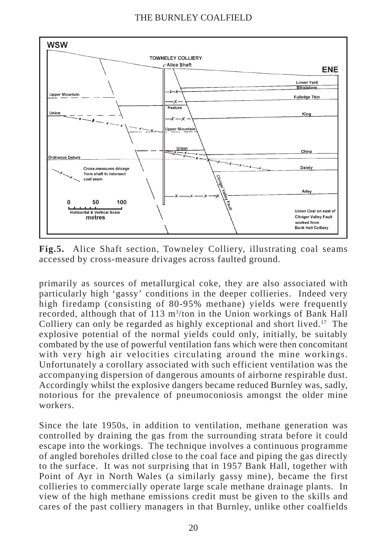

**Fig.5.** Alice Shaft section, Towneley Colliery, illustrating coal seams accessed by cross-measure drivages across faulted ground.

primarily as sources of metallurgical coke, they are also associated with particularly high 'gassy' conditions in the deeper collieries. Indeed very high firedamp (consisting of 80-95% methane) yields were frequently recorded, although that of 113 m<sup>3</sup>/ton in the Union workings of Bank Hall Colliery can only be regarded as highly exceptional and short lived.<sup>17</sup> The explosive potential of the normal yields could only, initially, be suitably combated by the use of powerful ventilation fans which were then concomitant with very high air velocities circulating around the mine workings. Unfortunately a corollary associated with such efficient ventilation was the accompanying dispersion of dangerous amounts of airborne respirable dust. Accordingly whilst the explosive dangers became reduced Burnley was, sadly, notorious for the prevalence of pneumoconiosis amongst the older mine workers.

Since the late 1950s, in addition to ventilation, methane generation was controlled by draining the gas from the surrounding strata before it could escape into the workings. The technique involves a continuous programme of angled boreholes drilled close to the coal face and piping the gas directly to the surface. It was not surprising that in 1957 Bank Hall, together with Point of Ayr in North Wales (a similarly gassy mine), became the first collieries to commercially operate large scale methane drainage plants. In view of the high methane emissions credit must be given to the skills and cares of the past colliery managers in that Burnley, unlike other coalfields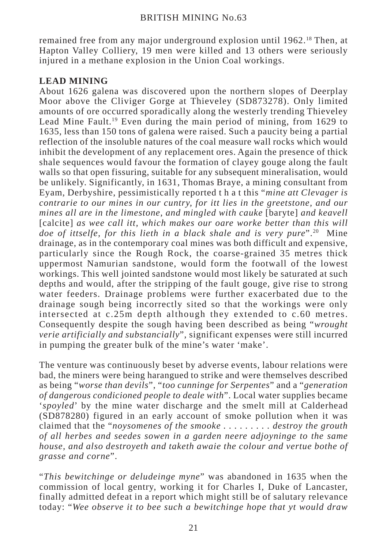remained free from any major underground explosion until 1962.18 Then, at Hapton Valley Colliery, 19 men were killed and 13 others were seriously injured in a methane explosion in the Union Coal workings.

## **LEAD MINING**

About 1626 galena was discovered upon the northern slopes of Deerplay Moor above the Cliviger Gorge at Thieveley (SD873278). Only limited amounts of ore occurred sporadically along the westerly trending Thieveley Lead Mine Fault.19 Even during the main period of mining, from 1629 to 1635, less than 150 tons of galena were raised. Such a paucity being a partial reflection of the insoluble natures of the coal measure wall rocks which would inhibit the development of any replacement ores. Again the presence of thick shale sequences would favour the formation of clayey gouge along the fault walls so that open fissuring, suitable for any subsequent mineralisation, would be unlikely. Significantly, in 1631, Thomas Braye, a mining consultant from Eyam, Derbyshire, pessimistically reported t h a t this "*mine att Clevager is contrarie to our mines in our cuntry, for itt lies in the greetstone, and our mines all are in the limestone, and mingled with cauke* [baryte] *and keavell* [calcite] *as wee call itt, which makes our oare worke better than this will doe of ittselfe, for this lieth in a black shale and is very pure*".20 Mine drainage, as in the contemporary coal mines was both difficult and expensive, particularly since the Rough Rock, the coarse-grained 35 metres thick uppermost Namurian sandstone, would form the footwall of the lowest workings. This well jointed sandstone would most likely be saturated at such depths and would, after the stripping of the fault gouge, give rise to strong water feeders. Drainage problems were further exacerbated due to the drainage sough being incorrectly sited so that the workings were only intersected at c.25m depth although they extended to c.60 metres. Consequently despite the sough having been described as being "*wrought verie artificially and substancially*", significant expenses were still incurred in pumping the greater bulk of the mine's water 'make'.

The venture was continuously beset by adverse events, labour relations were bad, the miners were being harangued to strike and were themselves described as being "*worse than devils*", "*too cunninge for Serpentes*" and a "*generation of dangerous condicioned people to deale with*". Local water supplies became '*spoyled*' by the mine water discharge and the smelt mill at Calderhead (SD878280) figured in an early account of smoke pollution when it was claimed that the "*noysomenes of the smooke . . . . . . . . . destroy the grouth of all herbes and seedes sowen in a garden neere adjoyninge to the same house, and also destroyeth and taketh awaie the colour and vertue bothe of grasse and corne*".

"*This bewitchinge or deludeinge myne*" was abandoned in 1635 when the commission of local gentry, working it for Charles I, Duke of Lancaster, finally admitted defeat in a report which might still be of salutary relevance today: "*Wee observe it to bee such a bewitchinge hope that yt would draw*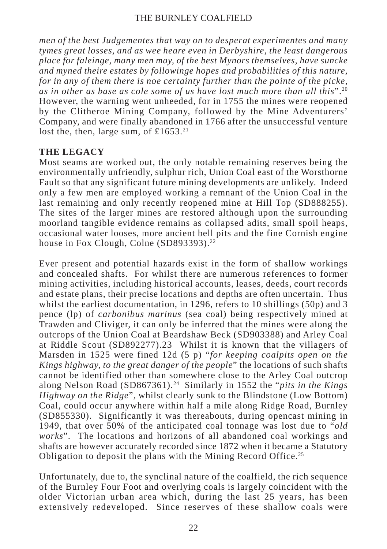*men of the best Judgementes that way on to desperat experimentes and many tymes great losses, and as wee heare even in Derbyshire, the least dangerous place for faleinge, many men may, of the best Mynors themselves, have suncke and myned theire estates by followinge hopes and probabilities of this nature, for in any of them there is noe certainty further than the pointe of the picke, as in other as base as cole some of us have lost much more than all this*".20 However, the warning went unheeded, for in 1755 the mines were reopened by the Clitheroe Mining Company, followed by the Mine Adventurers' Company, and were finally abandoned in 1766 after the unsuccessful venture lost the, then, large sum, of  $£1653<sup>21</sup>$ 

## **THE LEGACY**

Most seams are worked out, the only notable remaining reserves being the environmentally unfriendly, sulphur rich, Union Coal east of the Worsthorne Fault so that any significant future mining developments are unlikely. Indeed only a few men are employed working a remnant of the Union Coal in the last remaining and only recently reopened mine at Hill Top (SD888255). The sites of the larger mines are restored although upon the surrounding moorland tangible evidence remains as collapsed adits, small spoil heaps, occasional water looses, more ancient bell pits and the fine Cornish engine house in Fox Clough, Colne (SD893393).<sup>22</sup>

Ever present and potential hazards exist in the form of shallow workings and concealed shafts. For whilst there are numerous references to former mining activities, including historical accounts, leases, deeds, court records and estate plans, their precise locations and depths are often uncertain. Thus whilst the earliest documentation, in 1296, refers to 10 shillings (50p) and 3 pence (lp) of *carbonibus marinus* (sea coal) being respectively mined at Trawden and Cliviger, it can only be inferred that the mines were along the outcrops of the Union Coal at Beardshaw Beck (SD903388) and Arley Coal at Riddle Scout (SD892277).23 Whilst it is known that the villagers of Marsden in 1525 were fined 12d (5 p) "*for keeping coalpits open on the Kings highway, to the great danger of the people*" the locations of such shafts cannot be identified other than somewhere close to the Arley Coal outcrop along Nelson Road (SD867361).24 Similarly in 1552 the "*pits in the Kings Highway on the Ridge*", whilst clearly sunk to the Blindstone (Low Bottom) Coal, could occur anywhere within half a mile along Ridge Road, Burnley (SD855330). Significantly it was thereabouts, during opencast mining in 1949, that over 50% of the anticipated coal tonnage was lost due to "*old works*". The locations and horizons of all abandoned coal workings and shafts are however accurately recorded since 1872 when it became a Statutory Obligation to deposit the plans with the Mining Record Office.25

Unfortunately, due to, the synclinal nature of the coalfield, the rich sequence of the Burnley Four Foot and overlying coals is largely coincident with the older Victorian urban area which, during the last 25 years, has been extensively redeveloped. Since reserves of these shallow coals were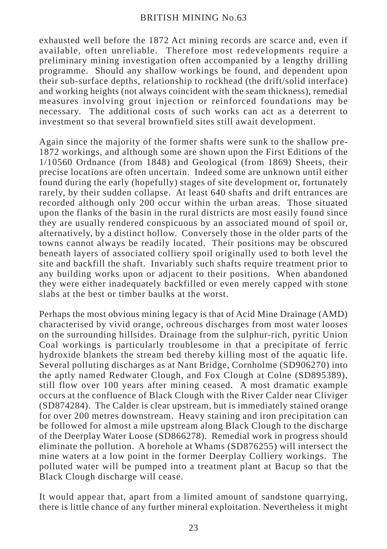exhausted well before the 1872 Act mining records are scarce and, even if available, often unreliable. Therefore most redevelopments require a preliminary mining investigation often accompanied by a lengthy drilling programme. Should any shallow workings be found, and dependent upon their sub-surface depths, relationship to rockhead (the drift/solid interface) and working heights (not always coincident with the seam thickness), remedial measures involving grout injection or reinforced foundations may be necessary. The additional costs of such works can act as a deterrent to investment so that several brownfield sites still await development.

Again since the majority of the former shafts were sunk to the shallow pre-1872 workings, and although some are shown upon the First Editions of the 1/10560 Ordnance (from 1848) and Geological (from 1869) Sheets, their precise locations are often uncertain. Indeed some are unknown until either found during the early (hopefully) stages of site development or, fortunately rarely, by their sudden collapse. At least 640 shafts and drift entrances are recorded although only 200 occur within the urban areas. Those situated upon the flanks of the basin in the rural districts are most easily found since they are usually rendered conspicuous by an associated mound of spoil or, alternatively, by a distinct hollow. Conversely those in the older parts of the towns cannot always be readily located. Their positions may be obscured beneath layers of associated colliery spoil originally used to both level the site and backfill the shaft. Invariably such shafts require treatment prior to any building works upon or adjacent to their positions. When abandoned they were either inadequately backfilled or even merely capped with stone slabs at the best or timber baulks at the worst.

Perhaps the most obvious mining legacy is that of Acid Mine Drainage (AMD) characterised by vivid orange, ochreous discharges from most water looses on the surrounding hillsides. Drainage from the sulphur-rich, pyritic Union Coal workings is particularly troublesome in that a precipitate of ferric hydroxide blankets the stream bed thereby killing most of the aquatic life. Several polluting discharges as at Nant Bridge, Cornholme (SD906270) into the aptly named Redwater Clough, and Fox Clough at Colne (SD895389), still flow over 100 years after mining ceased. A most dramatic example occurs at the confluence of Black Clough with the River Calder near Cliviger (SD874284). The Calder is clear upstream, but is immediately stained orange for over 200 metres downstream. Heavy staining and iron precipitation can be followed for almost a mile upstream along Black Clough to the discharge of the Deerplay Water Loose (SD866278). Remedial work in progress should eliminate the pollution. A borehole at Whams (SD876255) will intersect the mine waters at a low point in the former Deerplay Colliery workings. The polluted water will be pumped into a treatment plant at Bacup so that the Black Clough discharge will cease.

It would appear that, apart from a limited amount of sandstone quarrying, there is little chance of any further mineral exploitation. Nevertheless it might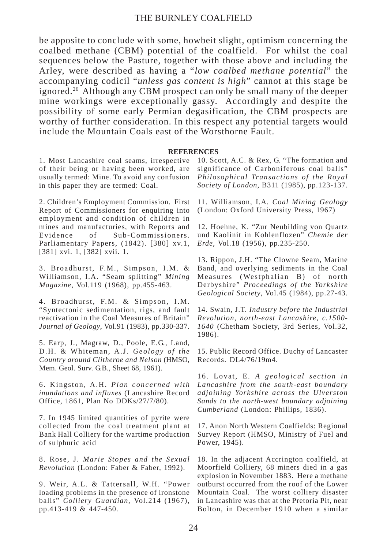be apposite to conclude with some, howbeit slight, optimism concerning the coalbed methane (CBM) potential of the coalfield. For whilst the coal sequences below the Pasture, together with those above and including the Arley, were described as having a "*low coalbed methane potential*" the accompanying codicil "*unless gas content is high*" cannot at this stage be ignored.26 Although any CBM prospect can only be small many of the deeper mine workings were exceptionally gassy. Accordingly and despite the possibility of some early Permian degasification, the CBM prospects are worthy of further consideration. In this respect any potential targets would include the Mountain Coals east of the Worsthorne Fault.

#### **REFERENCES**

1. Most Lancashire coal seams, irrespective of their being or having been worked, are usually termed: Mine. To avoid any confusion in this paper they are termed: Coal.

2. Children's Employment Commission. First Report of Commissioners for enquiring into employment and condition of children in mines and manufacturies, with Reports and Evidence of Sub-Commissioners. Parliamentary Papers, (1842). [380] xv.1, [381] xvi. 1, [382] xvii. 1.

3. Broadhurst, F.M., Simpson, I.M. & Williamson, I.A. "Seam splitting" *Mining Magazine*, Vol.119 (1968), pp.455-463.

4. Broadhurst, F.M. & Simpson, I.M. "Syntectonic sedimentation, rigs, and fault reactivation in the Coal Measures of Britain" *Journal of Geology*, Vol.91 (1983), pp.330-337.

5. Earp, J., Magraw, D., Poole, E.G., Land, D.H. & Whiteman, A.J. *Geology of the Country around Clitheroe and Nelson* (HMSO, Mem. Geol. Surv. G.B., Sheet 68, 1961).

6. Kingston, A.H. *Plan concerned with inundations and influxes* (Lancashire Record Office, 1861, Plan No DDKs/27/7/80).

7. In 1945 limited quantities of pyrite were collected from the coal treatment plant at Bank Hall Colliery for the wartime production of sulphuric acid

8. Rose, J. *Marie Stopes and the Sexual Revolution* (London: Faber & Faber, 1992).

9. Weir, A.L. & Tattersall, W.H. "Power loading problems in the presence of ironstone balls" *Colliery Guardian*, Vol.214 (1967), pp.413-419 & 447-450.

10. Scott, A.C. & Rex, G. "The formation and significance of Carboniferous coal balls" *Philosophical Transactions of the Royal Society of London*, B311 (1985), pp.123-137.

11. Williamson, I.A. *Coal Mining Geology* (London: Oxford University Press, 1967)

12. Hoehne, K. "Zur Neubilding von Quartz und Kaolinit in Kohlenflozen" *Chemie der Erde*, Vol.18 (1956), pp.235-250.

13. Rippon, J.H. "The Clowne Seam, Marine Band, and overlying sediments in the Coal Measures (Westphalian B) of north Derbyshire" *Proceedings of the Yorkshire Geological Society*, Vol.45 (1984), pp.27-43.

14. Swain, J.T. *Industry before the Industrial Revolution, north-east Lancashire, c.1500- 1640* (Chetham Society, 3rd Series, Vol.32, 1986).

15. Public Record Office. Duchy of Lancaster Records. DL4/76/19m4.

16. Lovat, E. *A geological section in Lancashire from the south-east boundary adjoining Yorkshire across the Ulverston Sands to the north-west boundary adjoining Cumberland* (London: Phillips, 1836).

17. Anon North Western Coalfields: Regional Survey Report (HMSO, Ministry of Fuel and Power, 1945).

18. In the adjacent Accrington coalfield, at Moorfield Colliery, 68 miners died in a gas explosion in November 1883. Here a methane outburst occurred from the roof of the Lower Mountain Coal. The worst colliery disaster in Lancashire was that at the Pretoria Pit, near Bolton, in December 1910 when a similar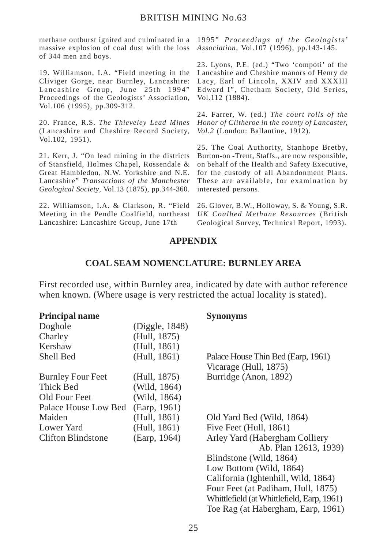methane outburst ignited and culminated in a 1995" *Proceedings of the Geologists'* massive explosion of coal dust with the loss *Association*, Vol.107 (1996), pp.143-145. of 344 men and boys.

19. Williamson, I.A. "Field meeting in the Cliviger Gorge, near Burnley, Lancashire: Lancashire Group, June 25th 1994" Proceedings of the Geologists' Association, Vol.106 (1995), pp.309-312.

20. France, R.S. *The Thieveley Lead Mines* (Lancashire and Cheshire Record Society, Vol.102, 1951).

21. Kerr, J. "On lead mining in the districts of Stansfield, Holmes Chapel, Rossendale & Great Hambledon, N.W. Yorkshire and N.E. Lancashire" *Transactions of the Manchester Geological Society*, Vol.13 (1875), pp.344-360.

22. Williamson, I.A. & Clarkson, R. "Field 26. Glover, B.W., Holloway, S. & Young, S.R. Meeting in the Pendle Coalfield, northeast *UK Coalbed Methane Resources* (British Lancashire: Lancashire Group, June 17th

23. Lyons, P.E. (ed.) "Two 'compoti' of the Lancashire and Cheshire manors of Henry de Lacy, Earl of Lincoln, XXIV and XXXIII Edward I", Chetham Society, Old Series, Vol.112 (1884).

24. Farrer, W. (ed.) *The court rolls of the Honor of Clitheroe in the county of Lancaster, Vol.2* (London: Ballantine, 1912).

25. The Coal Authority, Stanhope Bretby, Burton-on -Trent, Staffs., are now responsible, on behalf of the Health and Safety Executive, for the custody of all Abandonment Plans. These are available, for examination by interested persons.

Geological Survey, Technical Report, 1993).

#### **APPENDIX**

#### **COAL SEAM NOMENCLATURE: BURNLEY AREA**

First recorded use, within Burnley area, indicated by date with author reference when known. (Where usage is very restricted the actual locality is stated).

#### **Principal name Synonyms**

|                | $\sim$ $\mu$ and $\sim$ $\mu$ and $\sim$                    |
|----------------|-------------------------------------------------------------|
| (Diggle, 1848) |                                                             |
| (Hull, 1875)   |                                                             |
| (Hull, 1861)   |                                                             |
| (Hull, 1861)   | Palace House Thin Bed (Earp, 1961)<br>Vicarage (Hull, 1875) |
| (Hull, 1875)   | Burridge (Anon, 1892)                                       |
| (Wild, 1864)   |                                                             |
| (Wild, 1864)   |                                                             |
| (Earp. 1961)   |                                                             |
| (Hull, 1861)   | Old Yard Bed (Wild, 1864)                                   |
| (Hull, 1861)   | Five Feet (Hull, 1861)                                      |
| (Earp, 1964)   | Arley Yard (Habergham Colliery<br>Ab. Plan 12613, 1939)     |
|                | Blindstone (Wild, 1864)                                     |
|                | Low Bottom (Wild, 1864)                                     |
|                | California (Ightenhill, Wild, 1864)                         |
|                | Four Feet (at Padiham, Hull, 1875)                          |
|                | Whittlefield (at Whittlefield, Earp, 1961)                  |
|                | Toe Rag (at Habergham, Earp, 1961)                          |
|                |                                                             |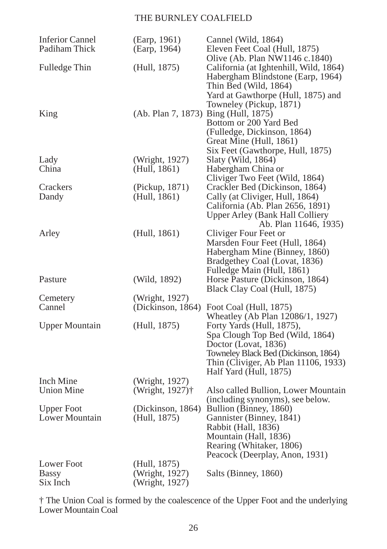| <b>Inferior Cannel</b><br>Padiham Thick | (Earp, 1961)<br>(Earp, 1964)         | Cannel (Wild, 1864)<br>Eleven Feet Coal (Hull, 1875)<br>Olive (Ab. Plan NW1146 c.1840)                                                                                |
|-----------------------------------------|--------------------------------------|-----------------------------------------------------------------------------------------------------------------------------------------------------------------------|
| Fulledge Thin                           | (Hull, 1875)                         | California (at Ightenhill, Wild, 1864)<br>Habergham Blindstone (Earp, 1964)<br>Thin Bed (Wild, 1864)<br>Yard at Gawthorpe (Hull, 1875) and<br>Towneley (Pickup, 1871) |
| King                                    | (Ab. Plan 7, 1873) Bing (Hull, 1875) | Bottom or 200 Yard Bed<br>(Fulledge, Dickinson, 1864)<br>Great Mine (Hull, 1861)<br>Six Feet (Gawthorpe, Hull, 1875)                                                  |
| Lady                                    | (Wright, 1927)                       | Slaty (Wild, 1864)                                                                                                                                                    |
| China                                   | (Hull, 1861)                         | Habergham China or                                                                                                                                                    |
|                                         |                                      | Cliviger Two Feet (Wild, 1864)                                                                                                                                        |
| Crackers                                | (Pickup, 1871)                       | Crackler Bed (Dickinson, 1864)                                                                                                                                        |
| Dandy                                   | (Hull, 1861)                         | Cally (at Cliviger, Hull, 1864)                                                                                                                                       |
|                                         |                                      | California (Ab. Plan 2656, 1891)                                                                                                                                      |
|                                         |                                      | Upper Arley (Bank Hall Colliery                                                                                                                                       |
|                                         |                                      | Ab. Plan 11646, 1935)                                                                                                                                                 |
| Arley                                   | (Hull, 1861)                         | Cliviger Four Feet or                                                                                                                                                 |
|                                         |                                      | Marsden Four Feet (Hull, 1864)                                                                                                                                        |
|                                         |                                      | Habergham Mine (Binney, 1860)                                                                                                                                         |
|                                         |                                      | Bradgethey Coal (Lovat, 1836)                                                                                                                                         |
|                                         |                                      | Fulledge Main (Hull, 1861)                                                                                                                                            |
| Pasture                                 | (Wild, 1892)                         | Horse Pasture (Dickinson, 1864)                                                                                                                                       |
|                                         |                                      | Black Clay Coal (Hull, 1875)                                                                                                                                          |
| Cemetery                                | (Wright, 1927)                       |                                                                                                                                                                       |
| Cannel                                  | (Dickinson, $1864$ )                 | Foot Coal (Hull, 1875)                                                                                                                                                |
|                                         |                                      | Wheatley (Ab Plan 12086/1, 1927)                                                                                                                                      |
| <b>Upper Mountain</b>                   | (Hull, 1875)                         | Forty Yards (Hull, 1875),                                                                                                                                             |
|                                         |                                      | Spa Clough Top Bed (Wild, 1864)                                                                                                                                       |
|                                         |                                      | Doctor (Lovat, 1836)                                                                                                                                                  |
|                                         |                                      | Towneley Black Bed (Dickinson, 1864)                                                                                                                                  |
|                                         |                                      | Thin (Cliviger, Ab Plan 11106, 1933)                                                                                                                                  |
|                                         |                                      | Half Yard (Hull, 1875)                                                                                                                                                |
| Inch Mine                               | (Wright, 1927)                       |                                                                                                                                                                       |
| <b>Union Mine</b>                       | (Wright, 1927) <sup>†</sup>          | Also called Bullion, Lower Mountain                                                                                                                                   |
|                                         |                                      | (including synonyms), see below.                                                                                                                                      |
| <b>Upper Foot</b>                       | (Dickinson, 1864)                    | Bullion (Binney, 1860)                                                                                                                                                |
| Lower Mountain                          | (Hull, 1875)                         | Gannister (Binney, 1841)                                                                                                                                              |
|                                         |                                      | Rabbit (Hall, 1836)                                                                                                                                                   |
|                                         |                                      | Mountain (Hall, 1836)                                                                                                                                                 |
|                                         |                                      | Rearing (Whitaker, 1806)                                                                                                                                              |
|                                         |                                      | Peacock (Deerplay, Anon, 1931)                                                                                                                                        |
| Lower Foot                              | (Hull, 1875)                         |                                                                                                                                                                       |
| Bassy                                   | (Wright, 1927)                       | Salts (Binney, 1860)                                                                                                                                                  |
| Six Inch                                | (Wright, 1927)                       |                                                                                                                                                                       |

† The Union Coal is formed by the coalescence of the Upper Foot and the underlying Lower Mountain Coal